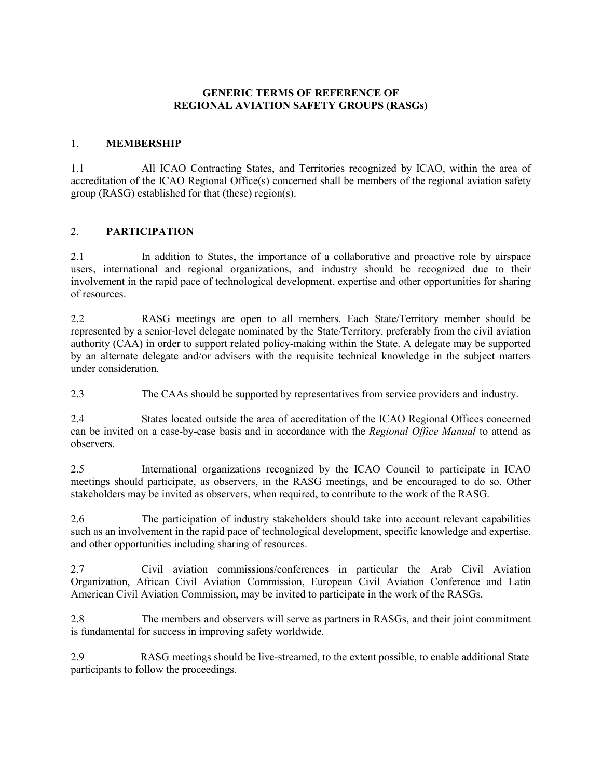# **GENERIC TERMS OF REFERENCE OF REGIONAL AVIATION SAFETY GROUPS (RASGs)**

# 1. **MEMBERSHIP**

1.1 All ICAO Contracting States, and Territories recognized by ICAO, within the area of accreditation of the ICAO Regional Office(s) concerned shall be members of the regional aviation safety group (RASG) established for that (these) region(s).

#### 2. **PARTICIPATION**

2.1 In addition to States, the importance of a collaborative and proactive role by airspace users, international and regional organizations, and industry should be recognized due to their involvement in the rapid pace of technological development, expertise and other opportunities for sharing of resources.

2.2 RASG meetings are open to all members. Each State/Territory member should be represented by a senior-level delegate nominated by the State/Territory, preferably from the civil aviation authority (CAA) in order to support related policy-making within the State. A delegate may be supported by an alternate delegate and/or advisers with the requisite technical knowledge in the subject matters under consideration.

2.3 The CAAs should be supported by representatives from service providers and industry.

2.4 States located outside the area of accreditation of the ICAO Regional Offices concerned can be invited on a case-by-case basis and in accordance with the *Regional Office Manual* to attend as observers.

2.5 International organizations recognized by the ICAO Council to participate in ICAO meetings should participate, as observers, in the RASG meetings, and be encouraged to do so. Other stakeholders may be invited as observers, when required, to contribute to the work of the RASG.

2.6 The participation of industry stakeholders should take into account relevant capabilities such as an involvement in the rapid pace of technological development, specific knowledge and expertise, and other opportunities including sharing of resources.

2.7 Civil aviation commissions/conferences in particular the Arab Civil Aviation Organization, African Civil Aviation Commission, European Civil Aviation Conference and Latin American Civil Aviation Commission, may be invited to participate in the work of the RASGs.

2.8 The members and observers will serve as partners in RASGs, and their joint commitment is fundamental for success in improving safety worldwide.

2.9 RASG meetings should be live-streamed, to the extent possible, to enable additional State participants to follow the proceedings.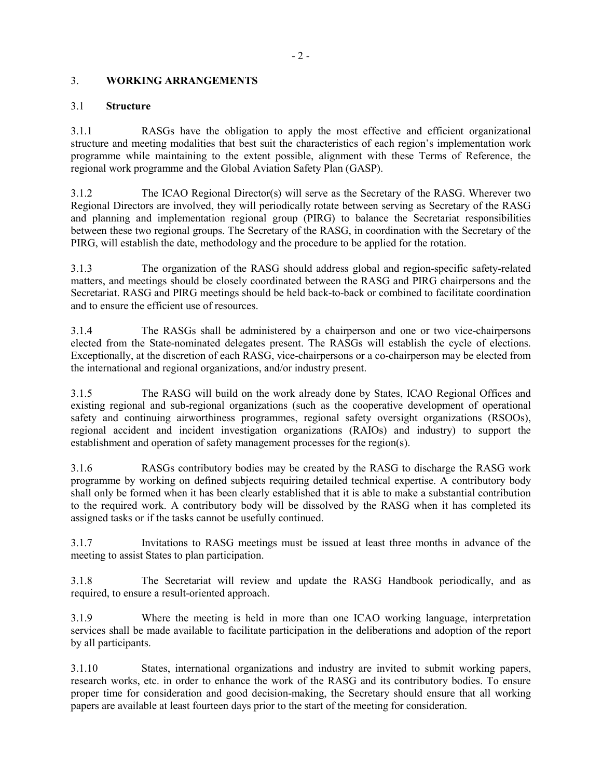# 3. **WORKING ARRANGEMENTS**

### 3.1 **Structure**

3.1.1 RASGs have the obligation to apply the most effective and efficient organizational structure and meeting modalities that best suit the characteristics of each region's implementation work programme while maintaining to the extent possible, alignment with these Terms of Reference, the regional work programme and the Global Aviation Safety Plan (GASP).

3.1.2 The ICAO Regional Director(s) will serve as the Secretary of the RASG. Wherever two Regional Directors are involved, they will periodically rotate between serving as Secretary of the RASG and planning and implementation regional group (PIRG) to balance the Secretariat responsibilities between these two regional groups. The Secretary of the RASG, in coordination with the Secretary of the PIRG, will establish the date, methodology and the procedure to be applied for the rotation.

3.1.3 The organization of the RASG should address global and region-specific safety-related matters, and meetings should be closely coordinated between the RASG and PIRG chairpersons and the Secretariat. RASG and PIRG meetings should be held back-to-back or combined to facilitate coordination and to ensure the efficient use of resources.

3.1.4 The RASGs shall be administered by a chairperson and one or two vice-chairpersons elected from the State-nominated delegates present. The RASGs will establish the cycle of elections. Exceptionally, at the discretion of each RASG, vice-chairpersons or a co-chairperson may be elected from the international and regional organizations, and/or industry present.

3.1.5 The RASG will build on the work already done by States, ICAO Regional Offices and existing regional and sub-regional organizations (such as the cooperative development of operational safety and continuing airworthiness programmes, regional safety oversight organizations (RSOOs), regional accident and incident investigation organizations (RAIOs) and industry) to support the establishment and operation of safety management processes for the region(s).

3.1.6 RASGs contributory bodies may be created by the RASG to discharge the RASG work programme by working on defined subjects requiring detailed technical expertise. A contributory body shall only be formed when it has been clearly established that it is able to make a substantial contribution to the required work. A contributory body will be dissolved by the RASG when it has completed its assigned tasks or if the tasks cannot be usefully continued.

3.1.7 Invitations to RASG meetings must be issued at least three months in advance of the meeting to assist States to plan participation.

3.1.8 The Secretariat will review and update the RASG Handbook periodically, and as required, to ensure a result-oriented approach.

3.1.9 Where the meeting is held in more than one ICAO working language, interpretation services shall be made available to facilitate participation in the deliberations and adoption of the report by all participants.

3.1.10 States, international organizations and industry are invited to submit working papers, research works, etc. in order to enhance the work of the RASG and its contributory bodies. To ensure proper time for consideration and good decision-making, the Secretary should ensure that all working papers are available at least fourteen days prior to the start of the meeting for consideration.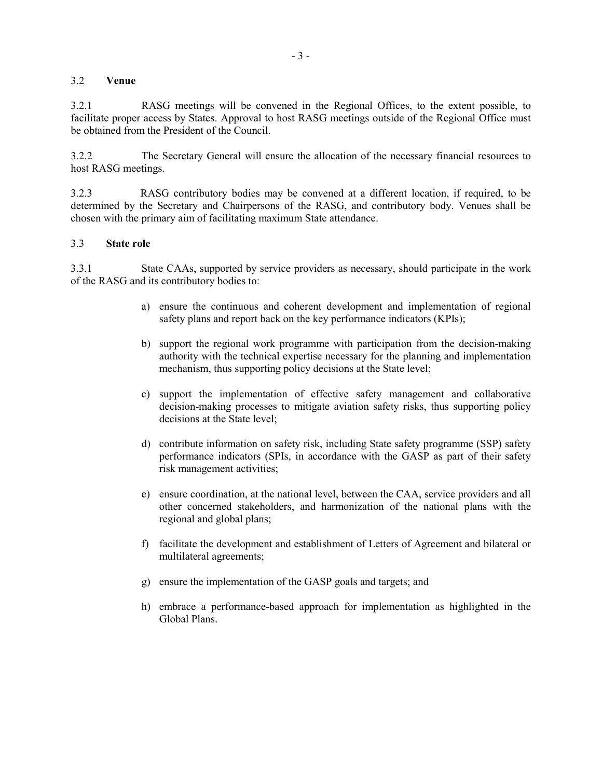### 3.2 **Venue**

3.2.1 RASG meetings will be convened in the Regional Offices, to the extent possible, to facilitate proper access by States. Approval to host RASG meetings outside of the Regional Office must be obtained from the President of the Council.

3.2.2 The Secretary General will ensure the allocation of the necessary financial resources to host RASG meetings.

3.2.3 RASG contributory bodies may be convened at a different location, if required, to be determined by the Secretary and Chairpersons of the RASG, and contributory body. Venues shall be chosen with the primary aim of facilitating maximum State attendance.

#### 3.3 **State role**

3.3.1 State CAAs, supported by service providers as necessary, should participate in the work of the RASG and its contributory bodies to:

- a) ensure the continuous and coherent development and implementation of regional safety plans and report back on the key performance indicators (KPIs);
- b) support the regional work programme with participation from the decision-making authority with the technical expertise necessary for the planning and implementation mechanism, thus supporting policy decisions at the State level;
- c) support the implementation of effective safety management and collaborative decision-making processes to mitigate aviation safety risks, thus supporting policy decisions at the State level;
- d) contribute information on safety risk, including State safety programme (SSP) safety performance indicators (SPIs, in accordance with the GASP as part of their safety risk management activities;
- e) ensure coordination, at the national level, between the CAA, service providers and all other concerned stakeholders, and harmonization of the national plans with the regional and global plans;
- f) facilitate the development and establishment of Letters of Agreement and bilateral or multilateral agreements;
- g) ensure the implementation of the GASP goals and targets; and
- h) embrace a performance-based approach for implementation as highlighted in the Global Plans.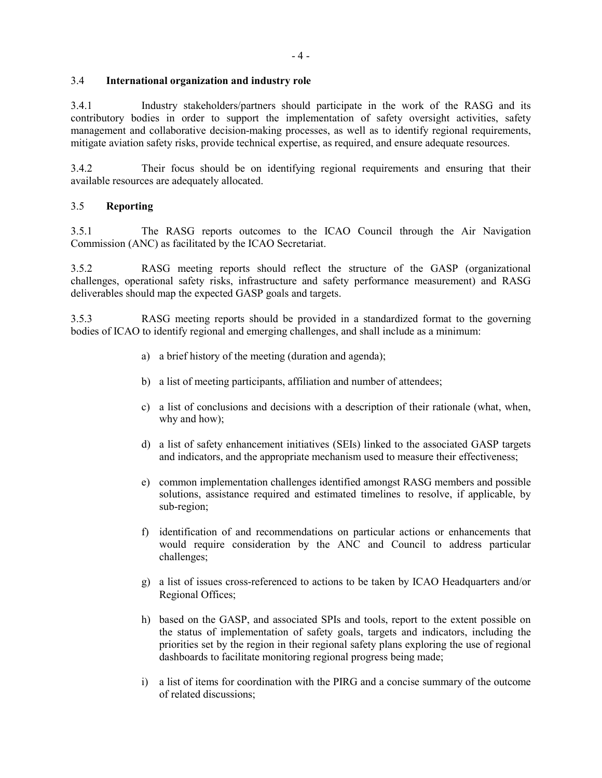## 3.4 **International organization and industry role**

3.4.1 Industry stakeholders/partners should participate in the work of the RASG and its contributory bodies in order to support the implementation of safety oversight activities, safety management and collaborative decision-making processes, as well as to identify regional requirements, mitigate aviation safety risks, provide technical expertise, as required, and ensure adequate resources.

3.4.2 Their focus should be on identifying regional requirements and ensuring that their available resources are adequately allocated.

## 3.5 **Reporting**

3.5.1 The RASG reports outcomes to the ICAO Council through the Air Navigation Commission (ANC) as facilitated by the ICAO Secretariat.

3.5.2 RASG meeting reports should reflect the structure of the GASP (organizational challenges, operational safety risks, infrastructure and safety performance measurement) and RASG deliverables should map the expected GASP goals and targets.

3.5.3 RASG meeting reports should be provided in a standardized format to the governing bodies of ICAO to identify regional and emerging challenges, and shall include as a minimum:

- a) a brief history of the meeting (duration and agenda);
- b) a list of meeting participants, affiliation and number of attendees;
- c) a list of conclusions and decisions with a description of their rationale (what, when, why and how);
- d) a list of safety enhancement initiatives (SEIs) linked to the associated GASP targets and indicators, and the appropriate mechanism used to measure their effectiveness;
- e) common implementation challenges identified amongst RASG members and possible solutions, assistance required and estimated timelines to resolve, if applicable, by sub-region;
- f) identification of and recommendations on particular actions or enhancements that would require consideration by the ANC and Council to address particular challenges;
- g) a list of issues cross-referenced to actions to be taken by ICAO Headquarters and/or Regional Offices;
- h) based on the GASP, and associated SPIs and tools, report to the extent possible on the status of implementation of safety goals, targets and indicators, including the priorities set by the region in their regional safety plans exploring the use of regional dashboards to facilitate monitoring regional progress being made;
- i) a list of items for coordination with the PIRG and a concise summary of the outcome of related discussions;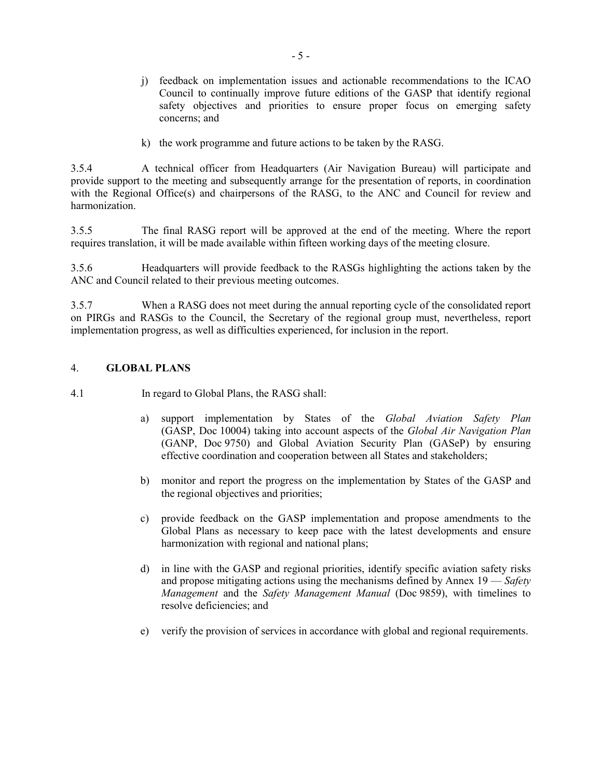- j) feedback on implementation issues and actionable recommendations to the ICAO Council to continually improve future editions of the GASP that identify regional safety objectives and priorities to ensure proper focus on emerging safety concerns; and
- k) the work programme and future actions to be taken by the RASG.

3.5.4 A technical officer from Headquarters (Air Navigation Bureau) will participate and provide support to the meeting and subsequently arrange for the presentation of reports, in coordination with the Regional Office(s) and chairpersons of the RASG, to the ANC and Council for review and harmonization.

3.5.5 The final RASG report will be approved at the end of the meeting. Where the report requires translation, it will be made available within fifteen working days of the meeting closure.

3.5.6 Headquarters will provide feedback to the RASGs highlighting the actions taken by the ANC and Council related to their previous meeting outcomes.

3.5.7 When a RASG does not meet during the annual reporting cycle of the consolidated report on PIRGs and RASGs to the Council, the Secretary of the regional group must, nevertheless, report implementation progress, as well as difficulties experienced, for inclusion in the report.

#### 4. **GLOBAL PLANS**

4.1 In regard to Global Plans, the RASG shall:

- a) support implementation by States of the *Global Aviation Safety Plan* (GASP, Doc 10004) taking into account aspects of the *Global Air Navigation Plan* (GANP, Doc 9750) and Global Aviation Security Plan (GASeP) by ensuring effective coordination and cooperation between all States and stakeholders;
- b) monitor and report the progress on the implementation by States of the GASP and the regional objectives and priorities;
- c) provide feedback on the GASP implementation and propose amendments to the Global Plans as necessary to keep pace with the latest developments and ensure harmonization with regional and national plans;
- d) in line with the GASP and regional priorities, identify specific aviation safety risks and propose mitigating actions using the mechanisms defined by Annex 19 — *Safety Management* and the *Safety Management Manual* (Doc 9859), with timelines to resolve deficiencies; and
- e) verify the provision of services in accordance with global and regional requirements.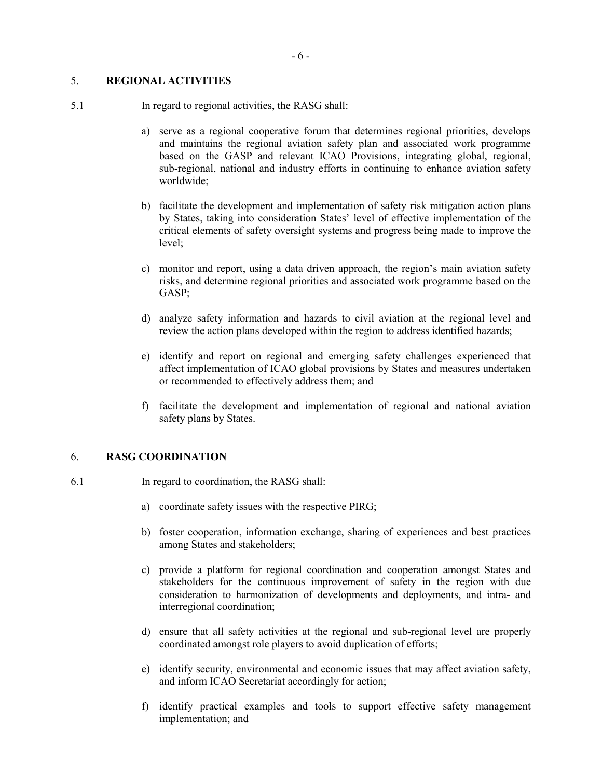# 5. **REGIONAL ACTIVITIES**

- 5.1 In regard to regional activities, the RASG shall:
	- a) serve as a regional cooperative forum that determines regional priorities, develops and maintains the regional aviation safety plan and associated work programme based on the GASP and relevant ICAO Provisions, integrating global, regional, sub-regional, national and industry efforts in continuing to enhance aviation safety worldwide;
	- b) facilitate the development and implementation of safety risk mitigation action plans by States, taking into consideration States' level of effective implementation of the critical elements of safety oversight systems and progress being made to improve the level;
	- c) monitor and report, using a data driven approach, the region's main aviation safety risks, and determine regional priorities and associated work programme based on the GASP;
	- d) analyze safety information and hazards to civil aviation at the regional level and review the action plans developed within the region to address identified hazards;
	- e) identify and report on regional and emerging safety challenges experienced that affect implementation of ICAO global provisions by States and measures undertaken or recommended to effectively address them; and
	- f) facilitate the development and implementation of regional and national aviation safety plans by States.

#### 6. **RASG COORDINATION**

- 6.1 In regard to coordination, the RASG shall:
	- a) coordinate safety issues with the respective PIRG;
	- b) foster cooperation, information exchange, sharing of experiences and best practices among States and stakeholders;
	- c) provide a platform for regional coordination and cooperation amongst States and stakeholders for the continuous improvement of safety in the region with due consideration to harmonization of developments and deployments, and intra- and interregional coordination;
	- d) ensure that all safety activities at the regional and sub-regional level are properly coordinated amongst role players to avoid duplication of efforts;
	- e) identify security, environmental and economic issues that may affect aviation safety, and inform ICAO Secretariat accordingly for action;
	- f) identify practical examples and tools to support effective safety management implementation; and